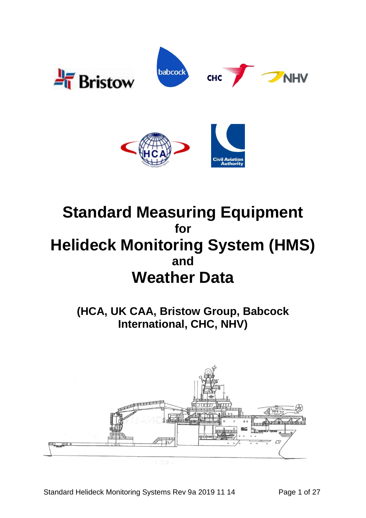

# **Standard Measuring Equipment for Helideck Monitoring System (HMS) and Weather Data**

**(HCA, UK CAA, Bristow Group, Babcock International, CHC, NHV)**

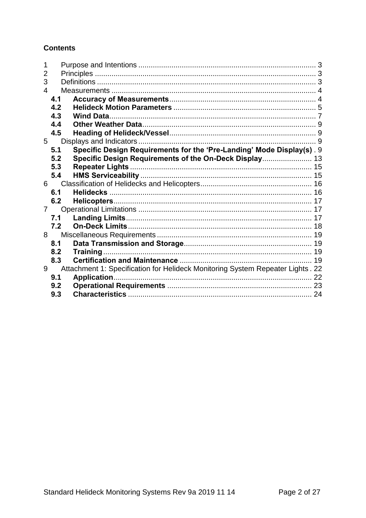**Contents** 

| 2 |     |                                                                                |  |
|---|-----|--------------------------------------------------------------------------------|--|
| 3 |     |                                                                                |  |
| 4 |     |                                                                                |  |
|   | 4.1 |                                                                                |  |
|   | 4.2 |                                                                                |  |
|   | 4.3 |                                                                                |  |
|   | 4.4 |                                                                                |  |
|   | 4.5 |                                                                                |  |
| 5 |     |                                                                                |  |
|   | 5.1 | Specific Design Requirements for the 'Pre-Landing' Mode Display(s). 9          |  |
|   | 5.2 | Specific Design Requirements of the On-Deck Display 13                         |  |
|   | 5.3 |                                                                                |  |
|   | 5.4 |                                                                                |  |
| 6 |     |                                                                                |  |
|   | 6.1 |                                                                                |  |
|   | 6.2 |                                                                                |  |
| 7 |     |                                                                                |  |
|   | 7.1 |                                                                                |  |
|   | 7.2 |                                                                                |  |
| 8 |     |                                                                                |  |
|   | 8.1 |                                                                                |  |
|   | 8.2 |                                                                                |  |
|   | 8.3 |                                                                                |  |
| 9 |     | Attachment 1: Specification for Helideck Monitoring System Repeater Lights. 22 |  |
|   | 9.1 |                                                                                |  |
|   | 9.2 |                                                                                |  |
|   | 9.3 |                                                                                |  |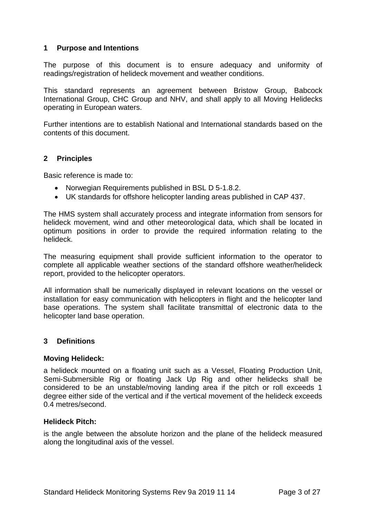#### <span id="page-2-0"></span>**1 Purpose and Intentions**

The purpose of this document is to ensure adequacy and uniformity of readings/registration of helideck movement and weather conditions.

This standard represents an agreement between Bristow Group, Babcock International Group, CHC Group and NHV, and shall apply to all Moving Helidecks operating in European waters.

Further intentions are to establish National and International standards based on the contents of this document.

#### <span id="page-2-1"></span>**2 Principles**

Basic reference is made to:

- Norwegian Requirements published in BSL D 5-1.8.2.
- UK standards for offshore helicopter landing areas published in CAP 437.

The HMS system shall accurately process and integrate information from sensors for helideck movement, wind and other meteorological data, which shall be located in optimum positions in order to provide the required information relating to the helideck.

The measuring equipment shall provide sufficient information to the operator to complete all applicable weather sections of the standard offshore weather/helideck report, provided to the helicopter operators.

All information shall be numerically displayed in relevant locations on the vessel or installation for easy communication with helicopters in flight and the helicopter land base operations. The system shall facilitate transmittal of electronic data to the helicopter land base operation.

#### <span id="page-2-2"></span>**3 Definitions**

#### **Moving Helideck:**

a helideck mounted on a floating unit such as a Vessel, Floating Production Unit, Semi-Submersible Rig or floating Jack Up Rig and other helidecks shall be considered to be an unstable/moving landing area if the pitch or roll exceeds 1 degree either side of the vertical and if the vertical movement of the helideck exceeds 0.4 metres/second.

#### **Helideck Pitch:**

is the angle between the absolute horizon and the plane of the helideck measured along the longitudinal axis of the vessel.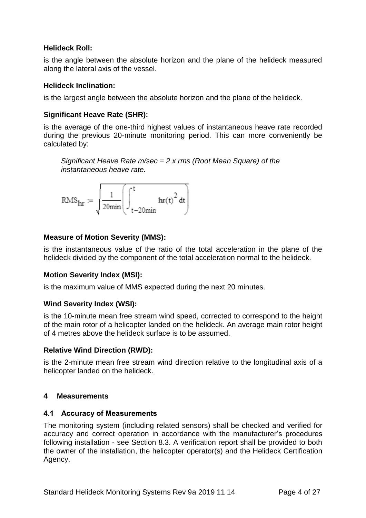# **Helideck Roll:**

is the angle between the absolute horizon and the plane of the helideck measured along the lateral axis of the vessel.

# **Helideck Inclination:**

is the largest angle between the absolute horizon and the plane of the helideck.

# **Significant Heave Rate (SHR):**

is the average of the one-third highest values of instantaneous heave rate recorded during the previous 20-minute monitoring period. This can more conveniently be calculated by:

*Significant Heave Rate m/sec = 2 x rms (Root Mean Square) of the instantaneous heave rate.*

$$
RMS_{\mathbf{hr}} := \sqrt{\frac{1}{20\text{min}}} \left( \int_{t-20\text{min}}^{t} \mathbf{hr}(t)^{2} dt \right)
$$

# **Measure of Motion Severity (MMS):**

is the instantaneous value of the ratio of the total acceleration in the plane of the helideck divided by the component of the total acceleration normal to the helideck.

#### **Motion Severity Index (MSI):**

is the maximum value of MMS expected during the next 20 minutes.

#### **Wind Severity Index (WSI):**

is the 10-minute mean free stream wind speed, corrected to correspond to the height of the main rotor of a helicopter landed on the helideck. An average main rotor height of 4 metres above the helideck surface is to be assumed.

#### **Relative Wind Direction (RWD):**

is the 2-minute mean free stream wind direction relative to the longitudinal axis of a helicopter landed on the helideck.

#### <span id="page-3-0"></span>**4 Measurements**

#### <span id="page-3-1"></span>**4.1 Accuracy of Measurements**

The monitoring system (including related sensors) shall be checked and verified for accuracy and correct operation in accordance with the manufacturer's procedures following installation - see Section 8.3. A verification report shall be provided to both the owner of the installation, the helicopter operator(s) and the Helideck Certification Agency.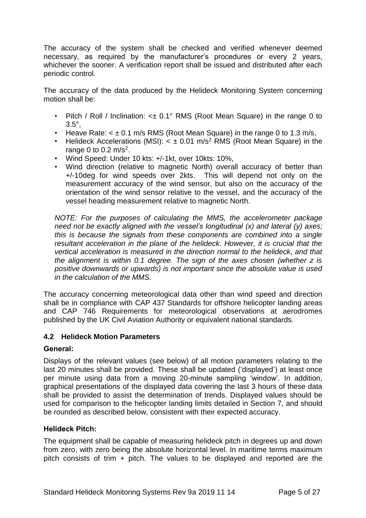The accuracy of the system shall be checked and verified whenever deemed necessary, as required by the manufacturer's procedures or every 2 years, whichever the sooner. A verification report shall be issued and distributed after each periodic control.

The accuracy of the data produced by the Helideck Monitoring System concerning motion shall be:

- Pitch / Roll / Inclination: < $\pm$  0.1° RMS (Root Mean Square) in the range 0 to 3.5°,
- Heave Rate:  $< \pm 0.1$  m/s RMS (Root Mean Square) in the range 0 to 1.3 m/s,
- Helideck Accelerations (MSI):  $<$   $\pm$  0.01 m/s<sup>2</sup> RMS (Root Mean Square) in the range 0 to 0.2  $m/s<sup>2</sup>$ .
- Wind Speed: Under 10 kts: +/-1kt, over 10kts: 10%,
- Wind direction (relative to magnetic North) overall accuracy of better than +/-10deg for wind speeds over 2kts. This will depend not only on the measurement accuracy of the wind sensor, but also on the accuracy of the orientation of the wind sensor relative to the vessel, and the accuracy of the vessel heading measurement relative to magnetic North.

*NOTE: For the purposes of calculating the MMS, the accelerometer package need not be exactly aligned with the vessel's longitudinal (x) and lateral (y) axes; this is because the signals from these components are combined into a single resultant acceleration in the plane of the helideck. However, it is crucial that the vertical acceleration is measured in the direction normal to the helideck, and that the alignment is within 0.1 degree. The sign of the axes chosen (whether z is positive downwards or upwards) is not important since the absolute value is used in the calculation of the MMS.* 

The accuracy concerning meteorological data other than wind speed and direction shall be in compliance with CAP 437 Standards for offshore helicopter landing areas and CAP 746 Requirements for meteorological observations at aerodromes published by the UK Civil Aviation Authority or equivalent national standards.

#### <span id="page-4-0"></span>**4.2 Helideck Motion Parameters**

#### **General:**

Displays of the relevant values (see below) of all motion parameters relating to the last 20 minutes shall be provided. These shall be updated ('displayed') at least once per minute using data from a moving 20-minute sampling 'window'. In addition, graphical presentations of the displayed data covering the last 3 hours of these data shall be provided to assist the determination of trends. Displayed values should be used for comparison to the helicopter landing limits detailed in Section 7, and should be rounded as described below, consistent with their expected accuracy.

#### **Helideck Pitch:**

The equipment shall be capable of measuring helideck pitch in degrees up and down from zero, with zero being the absolute horizontal level. In maritime terms maximum pitch consists of trim + pitch. The values to be displayed and reported are the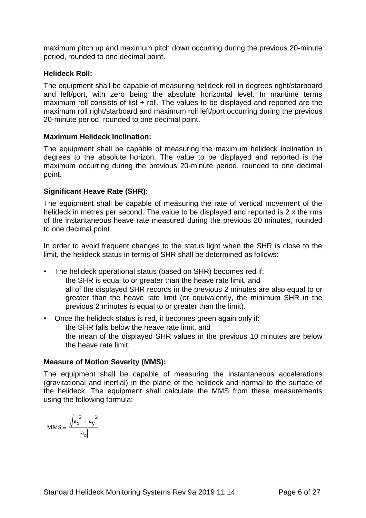maximum pitch up and maximum pitch down occurring during the previous 20-minute period, rounded to one decimal point.

#### **Helideck Roll:**

The equipment shall be capable of measuring helideck roll in degrees right/starboard and left/port, with zero being the absolute horizontal level. In maritime terms maximum roll consists of list + roll. The values to be displayed and reported are the maximum roll right/starboard and maximum roll left/port occurring during the previous 20-minute period, rounded to one decimal point.

# **Maximum Helideck Inclination:**

The equipment shall be capable of measuring the maximum helideck inclination in degrees to the absolute horizon. The value to be displayed and reported is the maximum occurring during the previous 20-minute period, rounded to one decimal point.

# **Significant Heave Rate (SHR):**

The equipment shall be capable of measuring the rate of vertical movement of the helideck in metres per second. The value to be displayed and reported is 2 x the rms of the instantaneous heave rate measured during the previous 20 minutes, rounded to one decimal point.

In order to avoid frequent changes to the status light when the SHR is close to the limit, the helideck status in terms of SHR shall be determined as follows:

- The helideck operational status (based on SHR) becomes red if:
	- − the SHR is equal to or greater than the heave rate limit, and
	- − all of the displayed SHR records in the previous 2 minutes are also equal to or greater than the heave rate limit (or equivalently, the minimum SHR in the previous 2 minutes is equal to or greater than the limit).
- Once the helideck status is red, it becomes green again only if:
	- − the SHR falls below the heave rate limit, and
	- − the mean of the displayed SHR values in the previous 10 minutes are below the heave rate limit.

#### **Measure of Motion Severity (MMS):**

The equipment shall be capable of measuring the instantaneous accelerations (gravitational and inertial) in the plane of the helideck and normal to the surface of the helideck. The equipment shall calculate the MMS from these measurements using the following formula:

$$
MMS = \frac{\sqrt{a_x^2 + a_y^2}}{\left| a_z \right|}
$$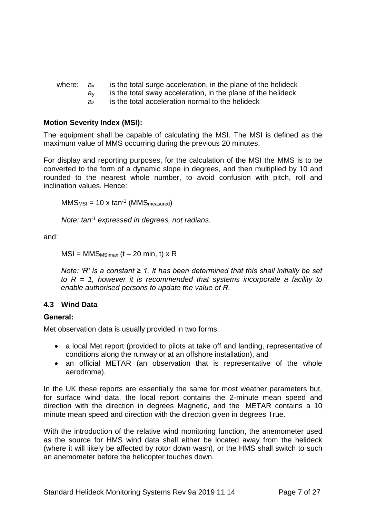| where: $a_x$ |  | is the total surge acceleration, in the plane of the helideck |
|--------------|--|---------------------------------------------------------------|
|--------------|--|---------------------------------------------------------------|

- $a<sub>y</sub>$  is the total sway acceleration, in the plane of the helideck
- a<sup>z</sup> is the total acceleration normal to the helideck

## **Motion Severity Index (MSI):**

The equipment shall be capable of calculating the MSI. The MSI is defined as the maximum value of MMS occurring during the previous 20 minutes.

For display and reporting purposes, for the calculation of the MSI the MMS is to be converted to the form of a dynamic slope in degrees, and then multiplied by 10 and rounded to the nearest whole number, to avoid confusion with pitch, roll and inclination values. Hence:

```
MMS<sub>MSI</sub> = 10 x tan<sup>-1</sup> (MMS<sub>measured</sub>)
```

```
Note: tan-1 expressed in degrees, not radians.
```
and:

$$
MSI = MMS_{MSImax} (t - 20 min, t) \times R
$$

*Note: 'R' is a constant ≥ 1. It has been determined that this shall initially be set*  to  $R = 1$ , however it is recommended that systems incorporate a facility to *enable authorised persons to update the value of R.* 

# <span id="page-6-0"></span>**4.3 Wind Data**

# **General:**

Met observation data is usually provided in two forms:

- a local Met report (provided to pilots at take off and landing, representative of conditions along the runway or at an offshore installation), and
- an official METAR (an observation that is representative of the whole aerodrome).

In the UK these reports are essentially the same for most weather parameters but, for surface wind data, the local report contains the 2-minute mean speed and direction with the direction in degrees Magnetic, and the METAR contains a 10 minute mean speed and direction with the direction given in degrees True.

With the introduction of the relative wind monitoring function, the anemometer used as the source for HMS wind data shall either be located away from the helideck (where it will likely be affected by rotor down wash), or the HMS shall switch to such an anemometer before the helicopter touches down.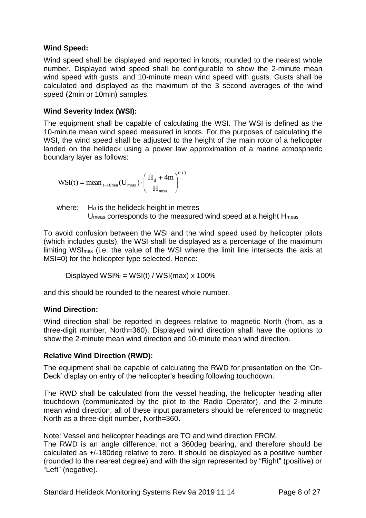# **Wind Speed:**

Wind speed shall be displayed and reported in knots, rounded to the nearest whole number. Displayed wind speed shall be configurable to show the 2-minute mean wind speed with gusts, and 10-minute mean wind speed with gusts. Gusts shall be calculated and displayed as the maximum of the 3 second averages of the wind speed (2min or 10min) samples.

## **Wind Severity Index (WSI):**

The equipment shall be capable of calculating the WSI. The WSI is defined as the 10-minute mean wind speed measured in knots. For the purposes of calculating the WSI, the wind speed shall be adjusted to the height of the main rotor of a helicopter landed on the helideck using a power law approximation of a marine atmospheric boundary layer as follows:

$$
WSI(t) = \text{mean}_{t-10\text{min}}(U_{\text{meas}}) \cdot \left(\frac{H_d + 4m}{H_{\text{meas}}}\right)^{0.13}
$$

where:  $H_d$  is the helideck height in metres U<sub>meas</sub> corresponds to the measured wind speed at a height H<sub>meas</sub>

To avoid confusion between the WSI and the wind speed used by helicopter pilots (which includes gusts), the WSI shall be displayed as a percentage of the maximum limiting WSI<sub>max</sub> (i.e. the value of the WSI where the limit line intersects the axis at MSI=0) for the helicopter type selected. Hence:

Displayed  $WSI\% = WSI(t) / WSI(max) \times 100\%$ 

and this should be rounded to the nearest whole number.

#### **Wind Direction:**

Wind direction shall be reported in degrees relative to magnetic North (from, as a three-digit number, North=360). Displayed wind direction shall have the options to show the 2-minute mean wind direction and 10-minute mean wind direction.

#### **Relative Wind Direction (RWD):**

The equipment shall be capable of calculating the RWD for presentation on the 'On-Deck' display on entry of the helicopter's heading following touchdown.

The RWD shall be calculated from the vessel heading, the helicopter heading after touchdown (communicated by the pilot to the Radio Operator), and the 2-minute mean wind direction; all of these input parameters should be referenced to magnetic North as a three-digit number, North=360.

Note: Vessel and helicopter headings are TO and wind direction FROM. The RWD is an angle difference, not a 360deg bearing, and therefore should be calculated as +/-180deg relative to zero. It should be displayed as a positive number (rounded to the nearest degree) and with the sign represented by "Right" (positive) or "Left" (negative).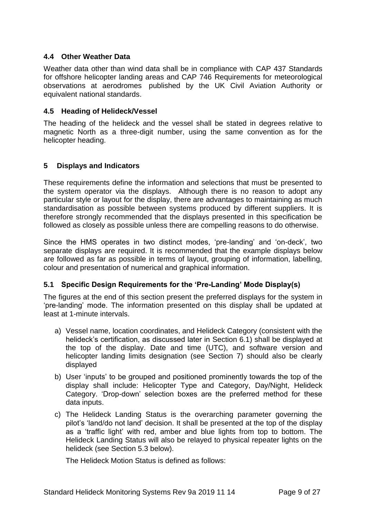# <span id="page-8-0"></span>**4.4 Other Weather Data**

Weather data other than wind data shall be in compliance with CAP 437 Standards for offshore helicopter landing areas and CAP 746 Requirements for meteorological observations at aerodromes published by the UK Civil Aviation Authority or equivalent national standards.

#### <span id="page-8-1"></span>**4.5 Heading of Helideck/Vessel**

The heading of the helideck and the vessel shall be stated in degrees relative to magnetic North as a three-digit number, using the same convention as for the helicopter heading.

# <span id="page-8-2"></span>**5 Displays and Indicators**

These requirements define the information and selections that must be presented to the system operator via the displays. Although there is no reason to adopt any particular style or layout for the display, there are advantages to maintaining as much standardisation as possible between systems produced by different suppliers. It is therefore strongly recommended that the displays presented in this specification be followed as closely as possible unless there are compelling reasons to do otherwise.

Since the HMS operates in two distinct modes, 'pre-landing' and 'on-deck', two separate displays are required. It is recommended that the example displays below are followed as far as possible in terms of layout, grouping of information, labelling, colour and presentation of numerical and graphical information.

#### <span id="page-8-3"></span>**5.1 Specific Design Requirements for the 'Pre-Landing' Mode Display(s)**

The figures at the end of this section present the preferred displays for the system in 'pre-landing' mode. The information presented on this display shall be updated at least at 1-minute intervals.

- a) Vessel name, location coordinates, and Helideck Category (consistent with the helideck's certification, as discussed later in Section 6.1) shall be displayed at the top of the display. Date and time (UTC), and software version and helicopter landing limits designation (see Section 7) should also be clearly displayed
- b) User 'inputs' to be grouped and positioned prominently towards the top of the display shall include: Helicopter Type and Category, Day/Night, Helideck Category. 'Drop-down' selection boxes are the preferred method for these data inputs.
- c) The Helideck Landing Status is the overarching parameter governing the pilot's 'land/do not land' decision. It shall be presented at the top of the display as a 'traffic light' with red, amber and blue lights from top to bottom. The Helideck Landing Status will also be relayed to physical repeater lights on the helideck (see Section 5.3 below).

The Helideck Motion Status is defined as follows: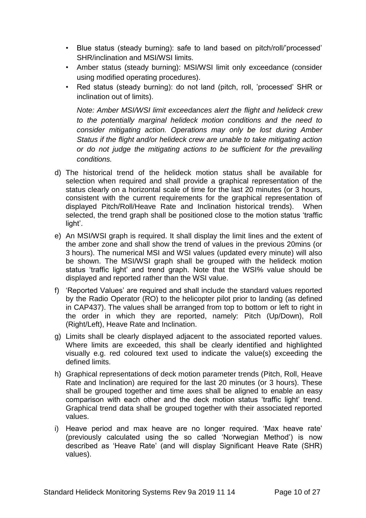- Blue status (steady burning): safe to land based on pitch/roll/'processed' SHR/inclination and MSI/WSI limits.
- Amber status (steady burning): MSI/WSI limit only exceedance (consider using modified operating procedures).
- Red status (steady burning): do not land (pitch, roll, 'processed' SHR or inclination out of limits).

*Note: Amber MSI/WSI limit exceedances alert the flight and helideck crew to the potentially marginal helideck motion conditions and the need to consider mitigating action. Operations may only be lost during Amber Status if the flight and/or helideck crew are unable to take mitigating action or do not judge the mitigating actions to be sufficient for the prevailing conditions.*

- d) The historical trend of the helideck motion status shall be available for selection when required and shall provide a graphical representation of the status clearly on a horizontal scale of time for the last 20 minutes (or 3 hours, consistent with the current requirements for the graphical representation of displayed Pitch/Roll/Heave Rate and Inclination historical trends). When selected, the trend graph shall be positioned close to the motion status 'traffic light'.
- e) An MSI/WSI graph is required. It shall display the limit lines and the extent of the amber zone and shall show the trend of values in the previous 20mins (or 3 hours). The numerical MSI and WSI values (updated every minute) will also be shown. The MSI/WSI graph shall be grouped with the helideck motion status 'traffic light' and trend graph. Note that the WSI% value should be displayed and reported rather than the WSI value.
- f) 'Reported Values' are required and shall include the standard values reported by the Radio Operator (RO) to the helicopter pilot prior to landing (as defined in CAP437). The values shall be arranged from top to bottom or left to right in the order in which they are reported, namely: Pitch (Up/Down), Roll (Right/Left), Heave Rate and Inclination.
- g) Limits shall be clearly displayed adjacent to the associated reported values. Where limits are exceeded, this shall be clearly identified and highlighted visually e.g. red coloured text used to indicate the value(s) exceeding the defined limits.
- h) Graphical representations of deck motion parameter trends (Pitch, Roll, Heave Rate and Inclination) are required for the last 20 minutes (or 3 hours). These shall be grouped together and time axes shall be aligned to enable an easy comparison with each other and the deck motion status 'traffic light' trend. Graphical trend data shall be grouped together with their associated reported values.
- i) Heave period and max heave are no longer required. 'Max heave rate' (previously calculated using the so called 'Norwegian Method') is now described as 'Heave Rate' (and will display Significant Heave Rate (SHR) values).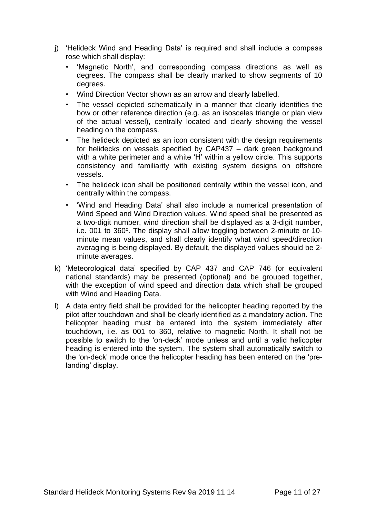- j) 'Helideck Wind and Heading Data' is required and shall include a compass rose which shall display:
	- 'Magnetic North', and corresponding compass directions as well as degrees. The compass shall be clearly marked to show segments of 10 degrees.
	- Wind Direction Vector shown as an arrow and clearly labelled.
	- The vessel depicted schematically in a manner that clearly identifies the bow or other reference direction (e.g. as an isosceles triangle or plan view of the actual vessel), centrally located and clearly showing the vessel heading on the compass.
	- The helideck depicted as an icon consistent with the design requirements for helidecks on vessels specified by CAP437 – dark green background with a white perimeter and a white 'H' within a yellow circle. This supports consistency and familiarity with existing system designs on offshore vessels.
	- The helideck icon shall be positioned centrally within the vessel icon, and centrally within the compass.
	- 'Wind and Heading Data' shall also include a numerical presentation of Wind Speed and Wind Direction values. Wind speed shall be presented as a two-digit number, wind direction shall be displayed as a 3-digit number, i.e. 001 to 360°. The display shall allow toggling between 2-minute or 10minute mean values, and shall clearly identify what wind speed/direction averaging is being displayed. By default, the displayed values should be 2 minute averages.
- k) 'Meteorological data' specified by CAP 437 and CAP 746 (or equivalent national standards) may be presented (optional) and be grouped together, with the exception of wind speed and direction data which shall be grouped with Wind and Heading Data.
- l) A data entry field shall be provided for the helicopter heading reported by the pilot after touchdown and shall be clearly identified as a mandatory action. The helicopter heading must be entered into the system immediately after touchdown, i.e. as 001 to 360, relative to magnetic North. It shall not be possible to switch to the 'on-deck' mode unless and until a valid helicopter heading is entered into the system. The system shall automatically switch to the 'on-deck' mode once the helicopter heading has been entered on the 'prelanding' display.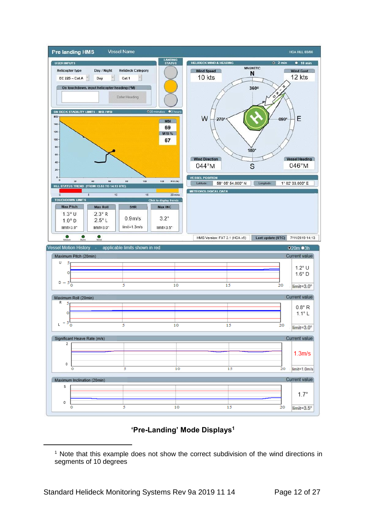

# **'Pre-Landing' Mode Displays 1**

 $\overline{a}$ 

<sup>&</sup>lt;sup>1</sup> Note that this example does not show the correct subdivision of the wind directions in segments of 10 degrees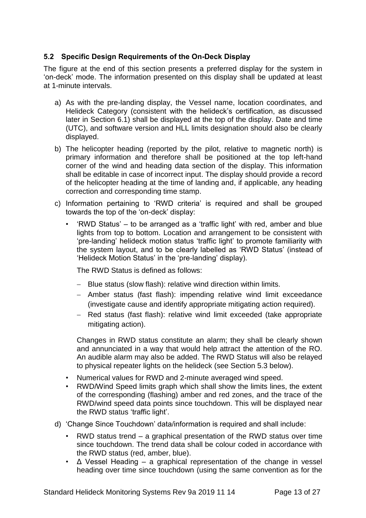# <span id="page-12-0"></span>**5.2 Specific Design Requirements of the On-Deck Display**

The figure at the end of this section presents a preferred display for the system in 'on-deck' mode. The information presented on this display shall be updated at least at 1-minute intervals.

- a) As with the pre-landing display, the Vessel name, location coordinates, and Helideck Category (consistent with the helideck's certification, as discussed later in Section 6.1) shall be displayed at the top of the display. Date and time (UTC), and software version and HLL limits designation should also be clearly displayed.
- b) The helicopter heading (reported by the pilot, relative to magnetic north) is primary information and therefore shall be positioned at the top left-hand corner of the wind and heading data section of the display. This information shall be editable in case of incorrect input. The display should provide a record of the helicopter heading at the time of landing and, if applicable, any heading correction and corresponding time stamp.
- c) Information pertaining to 'RWD criteria' is required and shall be grouped towards the top of the 'on-deck' display:
	- 'RWD Status' to be arranged as a 'traffic light' with red, amber and blue lights from top to bottom. Location and arrangement to be consistent with 'pre-landing' helideck motion status 'traffic light' to promote familiarity with the system layout, and to be clearly labelled as 'RWD Status' (instead of 'Helideck Motion Status' in the 'pre-landing' display).

The RWD Status is defined as follows:

- − Blue status (slow flash): relative wind direction within limits.
- − Amber status (fast flash): impending relative wind limit exceedance (investigate cause and identify appropriate mitigating action required).
- − Red status (fast flash): relative wind limit exceeded (take appropriate mitigating action).

Changes in RWD status constitute an alarm; they shall be clearly shown and annunciated in a way that would help attract the attention of the RO. An audible alarm may also be added. The RWD Status will also be relayed to physical repeater lights on the helideck (see Section 5.3 below).

- Numerical values for RWD and 2-minute averaged wind speed.
- RWD/Wind Speed limits graph which shall show the limits lines, the extent of the corresponding (flashing) amber and red zones, and the trace of the RWD/wind speed data points since touchdown. This will be displayed near the RWD status 'traffic light'.
- d) 'Change Since Touchdown' data/information is required and shall include:
	- RWD status trend a graphical presentation of the RWD status over time since touchdown. The trend data shall be colour coded in accordance with the RWD status (red, amber, blue).
	- Δ Vessel Heading a graphical representation of the change in vessel heading over time since touchdown (using the same convention as for the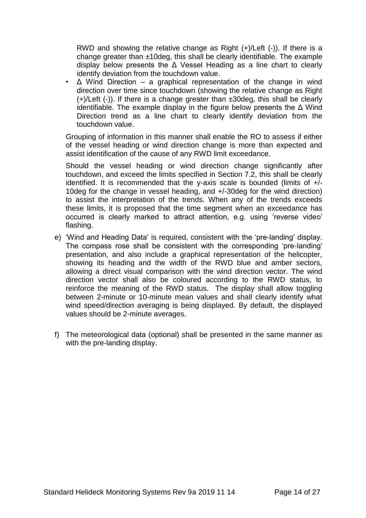RWD and showing the relative change as Right (+)/Left (-)). If there is a change greater than ±10deg, this shall be clearly identifiable. The example display below presents the Δ Vessel Heading as a line chart to clearly identify deviation from the touchdown value.

•  $\triangle$  Wind Direction – a graphical representation of the change in wind direction over time since touchdown (showing the relative change as Right (+)/Left (-)). If there is a change greater than ±30deg, this shall be clearly identifiable. The example display in the figure below presents the Δ Wind Direction trend as a line chart to clearly identify deviation from the touchdown value.

Grouping of information in this manner shall enable the RO to assess if either of the vessel heading or wind direction change is more than expected and assist identification of the cause of any RWD limit exceedance.

Should the vessel heading or wind direction change significantly after touchdown, and exceed the limits specified in Section 7.2, this shall be clearly identified. It is recommended that the y-axis scale is bounded (limits of +/- 10deg for the change in vessel heading, and +/-30deg for the wind direction) to assist the interpretation of the trends. When any of the trends exceeds these limits, it is proposed that the time segment when an exceedance has occurred is clearly marked to attract attention, e.g. using 'reverse video' flashing.

- e) 'Wind and Heading Data' is required, consistent with the 'pre-landing' display. The compass rose shall be consistent with the corresponding 'pre-landing' presentation, and also include a graphical representation of the helicopter, showing its heading and the width of the RWD blue and amber sectors, allowing a direct visual comparison with the wind direction vector. The wind direction vector shall also be coloured according to the RWD status, to reinforce the meaning of the RWD status. The display shall allow toggling between 2-minute or 10-minute mean values and shall clearly identify what wind speed/direction averaging is being displayed. By default, the displayed values should be 2-minute averages.
- f) The meteorological data (optional) shall be presented in the same manner as with the pre-landing display.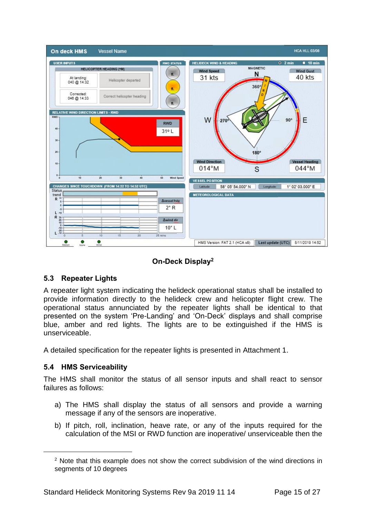

# **On-Deck Display<sup>2</sup>**

# <span id="page-14-0"></span>**5.3 Repeater Lights**

A repeater light system indicating the helideck operational status shall be installed to provide information directly to the helideck crew and helicopter flight crew. The operational status annunciated by the repeater lights shall be identical to that presented on the system 'Pre-Landing' and 'On-Deck' displays and shall comprise blue, amber and red lights. The lights are to be extinguished if the HMS is unserviceable.

A detailed specification for the repeater lights is presented in Attachment 1.

# <span id="page-14-1"></span>**5.4 HMS Serviceability**

 $\overline{a}$ 

The HMS shall monitor the status of all sensor inputs and shall react to sensor failures as follows:

- a) The HMS shall display the status of all sensors and provide a warning message if any of the sensors are inoperative.
- b) If pitch, roll, inclination, heave rate, or any of the inputs required for the calculation of the MSI or RWD function are inoperative/ unserviceable then the

<sup>&</sup>lt;sup>2</sup> Note that this example does not show the correct subdivision of the wind directions in segments of 10 degrees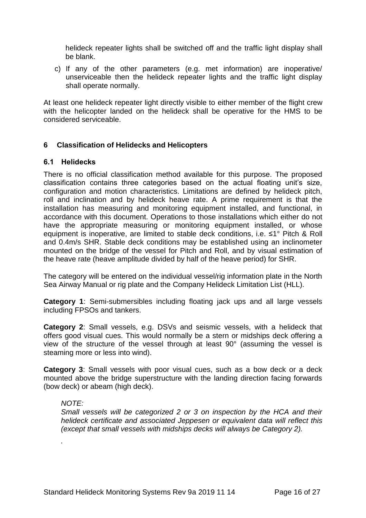helideck repeater lights shall be switched off and the traffic light display shall be blank.

c) If any of the other parameters (e.g. met information) are inoperative/ unserviceable then the helideck repeater lights and the traffic light display shall operate normally.

At least one helideck repeater light directly visible to either member of the flight crew with the helicopter landed on the helideck shall be operative for the HMS to be considered serviceable.

# <span id="page-15-0"></span>**6 Classification of Helidecks and Helicopters**

#### <span id="page-15-1"></span>**6.1 Helidecks**

There is no official classification method available for this purpose. The proposed classification contains three categories based on the actual floating unit's size, configuration and motion characteristics. Limitations are defined by helideck pitch, roll and inclination and by helideck heave rate. A prime requirement is that the installation has measuring and monitoring equipment installed, and functional, in accordance with this document. Operations to those installations which either do not have the appropriate measuring or monitoring equipment installed, or whose equipment is inoperative, are limited to stable deck conditions, i.e. ≤1° Pitch & Roll and 0.4m/s SHR. Stable deck conditions may be established using an inclinometer mounted on the bridge of the vessel for Pitch and Roll, and by visual estimation of the heave rate (heave amplitude divided by half of the heave period) for SHR.

The category will be entered on the individual vessel/rig information plate in the North Sea Airway Manual or rig plate and the Company Helideck Limitation List (HLL).

**Category 1**: Semi-submersibles including floating jack ups and all large vessels including FPSOs and tankers.

**Category 2**: Small vessels, e.g. DSVs and seismic vessels, with a helideck that offers good visual cues. This would normally be a stern or midships deck offering a view of the structure of the vessel through at least 90° (assuming the vessel is steaming more or less into wind).

**Category 3**: Small vessels with poor visual cues, such as a bow deck or a deck mounted above the bridge superstructure with the landing direction facing forwards (bow deck) or abeam (high deck).

#### *NOTE:*

*.*

*Small vessels will be categorized 2 or 3 on inspection by the HCA and their helideck certificate and associated Jeppesen or equivalent data will reflect this (except that small vessels with midships decks will always be Category 2).*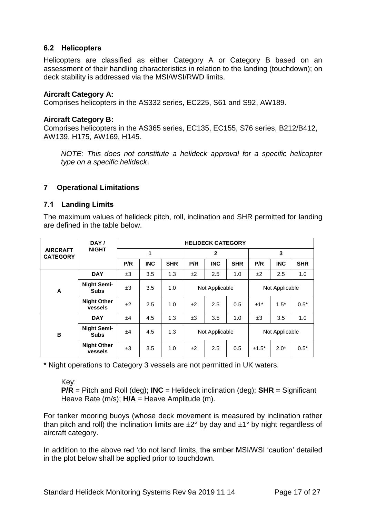# <span id="page-16-0"></span>**6.2 Helicopters**

Helicopters are classified as either Category A or Category B based on an assessment of their handling characteristics in relation to the landing (touchdown); on deck stability is addressed via the MSI/WSI/RWD limits.

#### **Aircraft Category A:**

Comprises helicopters in the AS332 series, EC225, S61 and S92, AW189.

#### **Aircraft Category B:**

Comprises helicopters in the AS365 series, EC135, EC155, S76 series, B212/B412, AW139, H175, AW169, H145.

*NOTE: This does not constitute a helideck approval for a specific helicopter type on a specific helideck*.

#### <span id="page-16-1"></span>**7 Operational Limitations**

#### <span id="page-16-2"></span>**7.1 Landing Limits**

The maximum values of helideck pitch, roll, inclination and SHR permitted for landing are defined in the table below.

|                                    | DAY/                              | <b>HELIDECK CATEGORY</b> |            |            |                |            |                |         |            |            |
|------------------------------------|-----------------------------------|--------------------------|------------|------------|----------------|------------|----------------|---------|------------|------------|
| <b>AIRCRAFT</b><br><b>CATEGORY</b> | <b>NIGHT</b>                      | 1                        |            |            | $\overline{2}$ |            |                | 3       |            |            |
|                                    |                                   | P/R                      | <b>INC</b> | <b>SHR</b> | P/R            | <b>INC</b> | <b>SHR</b>     | P/R     | <b>INC</b> | <b>SHR</b> |
|                                    | <b>DAY</b>                        | ±3                       | 3.5        | 1.3        | ±2             | 2.5        | 1.0            | ±2      | 2.5        | 1.0        |
| A                                  | <b>Night Semi-</b><br><b>Subs</b> | ±3                       | 3.5        | 1.0        | Not Applicable |            | Not Applicable |         |            |            |
|                                    | <b>Night Other</b><br>vessels     | ±2                       | 2.5        | 1.0        | ±2             | 2.5        | 0.5            | $±1*$   | $1.5*$     | $0.5*$     |
|                                    | <b>DAY</b>                        | ±4                       | 4.5        | 1.3        | ±3             | 3.5        | 1.0            | ±3      | 3.5        | 1.0        |
| B                                  | <b>Night Semi-</b><br><b>Subs</b> | ±4                       | 4.5        | 1.3        | Not Applicable |            | Not Applicable |         |            |            |
|                                    | <b>Night Other</b><br>vessels     | ±3                       | 3.5        | 1.0        | ±2             | 2.5        | 0.5            | $±1.5*$ | $2.0*$     | $0.5*$     |

\* Night operations to Category 3 vessels are not permitted in UK waters.

#### Key:

**P/R** = Pitch and Roll (deg); **INC** = Helideck inclination (deg); **SHR** = Significant Heave Rate (m/s); **H/A** = Heave Amplitude (m).

For tanker mooring buoys (whose deck movement is measured by inclination rather than pitch and roll) the inclination limits are  $\pm 2^{\circ}$  by day and  $\pm 1^{\circ}$  by night regardless of aircraft category.

In addition to the above red 'do not land' limits, the amber MSI/WSI 'caution' detailed in the plot below shall be applied prior to touchdown.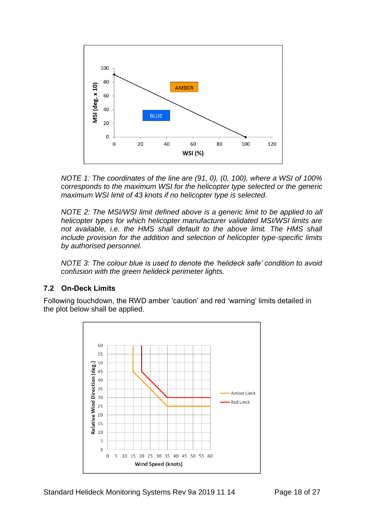

*NOTE 1: The coordinates of the line are (91, 0), (0, 100), where a WSI of 100% corresponds to the maximum WSI for the helicopter type selected or the generic maximum WSI limit of 43 knots if no helicopter type is selected.*

*NOTE 2: The MSI/WSI limit defined above is a generic limit to be applied to all helicopter types for which helicopter manufacturer validated MSI/WSI limits are*  not available, i.e. the HMS shall default to the above limit. The HMS shall *include provision for the addition and selection of helicopter type-specific limits by authorised personnel.*

*NOTE 3: The colour blue is used to denote the 'helideck safe' condition to avoid confusion with the green helideck perimeter lights.*

# <span id="page-17-0"></span>**7.2 On-Deck Limits**

Following touchdown, the RWD amber 'caution' and red 'warning' limits detailed in the plot below shall be applied.

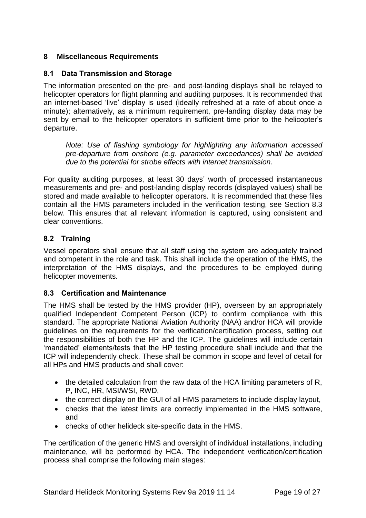# <span id="page-18-0"></span>**8 Miscellaneous Requirements**

## <span id="page-18-1"></span>**8.1 Data Transmission and Storage**

The information presented on the pre- and post-landing displays shall be relayed to helicopter operators for flight planning and auditing purposes. It is recommended that an internet-based 'live' display is used (ideally refreshed at a rate of about once a minute); alternatively, as a minimum requirement, pre-landing display data may be sent by email to the helicopter operators in sufficient time prior to the helicopter's departure.

*Note: Use of flashing symbology for highlighting any information accessed pre-departure from onshore (e.g. parameter exceedances) shall be avoided due to the potential for strobe effects with internet transmission.*

For quality auditing purposes, at least 30 days' worth of processed instantaneous measurements and pre- and post-landing display records (displayed values) shall be stored and made available to helicopter operators. It is recommended that these files contain all the HMS parameters included in the verification testing, see Section 8.3 below. This ensures that all relevant information is captured, using consistent and clear conventions.

# <span id="page-18-2"></span>**8.2 Training**

Vessel operators shall ensure that all staff using the system are adequately trained and competent in the role and task. This shall include the operation of the HMS, the interpretation of the HMS displays, and the procedures to be employed during helicopter movements.

#### <span id="page-18-3"></span>**8.3 Certification and Maintenance**

The HMS shall be tested by the HMS provider (HP), overseen by an appropriately qualified Independent Competent Person (ICP) to confirm compliance with this standard. The appropriate National Aviation Authority (NAA) and/or HCA will provide guidelines on the requirements for the verification/certification process, setting out the responsibilities of both the HP and the ICP. The guidelines will include certain 'mandated' elements/tests that the HP testing procedure shall include and that the ICP will independently check. These shall be common in scope and level of detail for all HPs and HMS products and shall cover:

- the detailed calculation from the raw data of the HCA limiting parameters of R, P, INC, HR, MSI/WSI, RWD,
- the correct display on the GUI of all HMS parameters to include display layout,
- checks that the latest limits are correctly implemented in the HMS software, and
- checks of other helideck site-specific data in the HMS.

The certification of the generic HMS and oversight of individual installations, including maintenance, will be performed by HCA. The independent verification/certification process shall comprise the following main stages: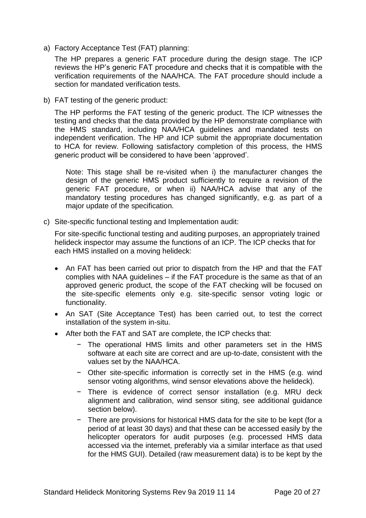a) Factory Acceptance Test (FAT) planning:

The HP prepares a generic FAT procedure during the design stage. The ICP reviews the HP's generic FAT procedure and checks that it is compatible with the verification requirements of the NAA/HCA. The FAT procedure should include a section for mandated verification tests.

b) FAT testing of the generic product:

The HP performs the FAT testing of the generic product. The ICP witnesses the testing and checks that the data provided by the HP demonstrate compliance with the HMS standard, including NAA/HCA guidelines and mandated tests on independent verification. The HP and ICP submit the appropriate documentation to HCA for review. Following satisfactory completion of this process, the HMS generic product will be considered to have been 'approved'.

Note: This stage shall be re-visited when i) the manufacturer changes the design of the generic HMS product sufficiently to require a revision of the generic FAT procedure, or when ii) NAA/HCA advise that any of the mandatory testing procedures has changed significantly, e.g. as part of a major update of the specification.

c) Site-specific functional testing and Implementation audit:

For site-specific functional testing and auditing purposes, an appropriately trained helideck inspector may assume the functions of an ICP. The ICP checks that for each HMS installed on a moving helideck:

- An FAT has been carried out prior to dispatch from the HP and that the FAT complies with NAA guidelines – if the FAT procedure is the same as that of an approved generic product, the scope of the FAT checking will be focused on the site-specific elements only e.g. site-specific sensor voting logic or functionality.
- An SAT (Site Acceptance Test) has been carried out, to test the correct installation of the system in-situ.
- After both the FAT and SAT are complete, the ICP checks that:
	- The operational HMS limits and other parameters set in the HMS software at each site are correct and are up-to-date, consistent with the values set by the NAA/HCA.
	- − Other site-specific information is correctly set in the HMS (e.g. wind sensor voting algorithms, wind sensor elevations above the helideck).
	- − There is evidence of correct sensor installation (e.g. MRU deck alignment and calibration, wind sensor siting, see additional guidance section below).
	- − There are provisions for historical HMS data for the site to be kept (for a period of at least 30 days) and that these can be accessed easily by the helicopter operators for audit purposes (e.g. processed HMS data accessed via the internet, preferably via a similar interface as that used for the HMS GUI). Detailed (raw measurement data) is to be kept by the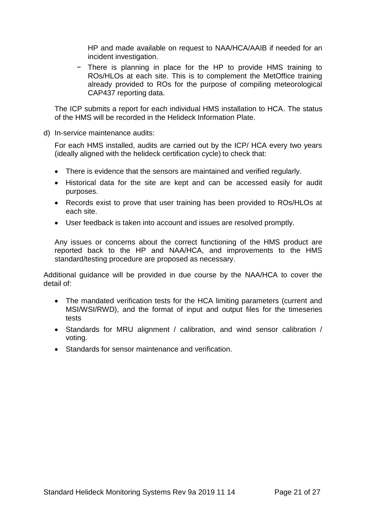HP and made available on request to NAA/HCA/AAIB if needed for an incident investigation.

− There is planning in place for the HP to provide HMS training to ROs/HLOs at each site. This is to complement the MetOffice training already provided to ROs for the purpose of compiling meteorological CAP437 reporting data.

The ICP submits a report for each individual HMS installation to HCA. The status of the HMS will be recorded in the Helideck Information Plate.

d) In-service maintenance audits:

For each HMS installed, audits are carried out by the ICP/ HCA every two years (ideally aligned with the helideck certification cycle) to check that:

- There is evidence that the sensors are maintained and verified regularly.
- Historical data for the site are kept and can be accessed easily for audit purposes.
- Records exist to prove that user training has been provided to ROs/HLOs at each site.
- User feedback is taken into account and issues are resolved promptly.

Any issues or concerns about the correct functioning of the HMS product are reported back to the HP and NAA/HCA, and improvements to the HMS standard/testing procedure are proposed as necessary.

Additional guidance will be provided in due course by the NAA/HCA to cover the detail of:

- The mandated verification tests for the HCA limiting parameters (current and MSI/WSI/RWD), and the format of input and output files for the timeseries tests
- Standards for MRU alignment / calibration, and wind sensor calibration / voting.
- Standards for sensor maintenance and verification.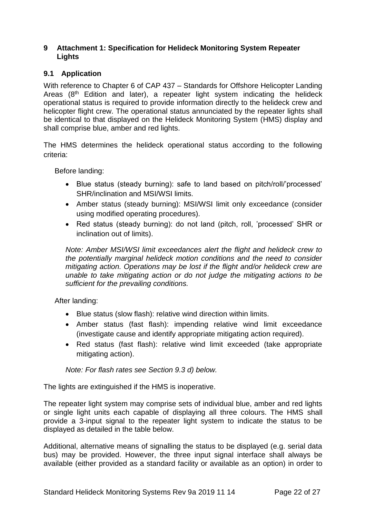#### <span id="page-21-0"></span>**9 Attachment 1: Specification for Helideck Monitoring System Repeater Lights**

# <span id="page-21-1"></span>**9.1 Application**

With reference to Chapter 6 of CAP 437 – Standards for Offshore Helicopter Landing Areas (8<sup>th</sup> Edition and later), a repeater light system indicating the helideck operational status is required to provide information directly to the helideck crew and helicopter flight crew. The operational status annunciated by the repeater lights shall be identical to that displayed on the Helideck Monitoring System (HMS) display and shall comprise blue, amber and red lights.

The HMS determines the helideck operational status according to the following criteria:

Before landing:

- Blue status (steady burning): safe to land based on pitch/roll/'processed' SHR/inclination and MSI/WSI limits.
- Amber status (steady burning): MSI/WSI limit only exceedance (consider using modified operating procedures).
- Red status (steady burning): do not land (pitch, roll, 'processed' SHR or inclination out of limits).

*Note: Amber MSI/WSI limit exceedances alert the flight and helideck crew to the potentially marginal helideck motion conditions and the need to consider mitigating action. Operations may be lost if the flight and/or helideck crew are unable to take mitigating action or do not judge the mitigating actions to be sufficient for the prevailing conditions.*

After landing:

- Blue status (slow flash): relative wind direction within limits.
- Amber status (fast flash): impending relative wind limit exceedance (investigate cause and identify appropriate mitigating action required).
- Red status (fast flash): relative wind limit exceeded (take appropriate mitigating action).

*Note: For flash rates see Section 9.3 d) below.*

The lights are extinguished if the HMS is inoperative.

The repeater light system may comprise sets of individual blue, amber and red lights or single light units each capable of displaying all three colours. The HMS shall provide a 3-input signal to the repeater light system to indicate the status to be displayed as detailed in the table below.

Additional, alternative means of signalling the status to be displayed (e.g. serial data bus) may be provided. However, the three input signal interface shall always be available (either provided as a standard facility or available as an option) in order to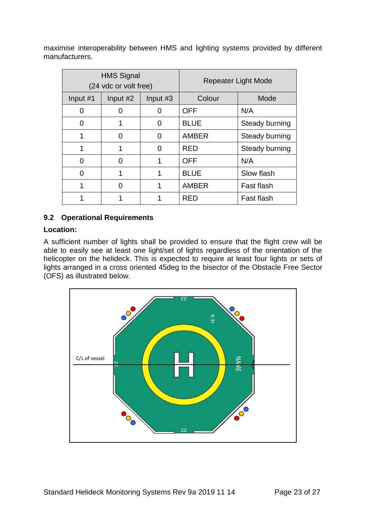maximise interoperability between HMS and lighting systems provided by different manufacturers.

|          | <b>HMS Signal</b><br>(24 vdc or volt free) |          | <b>Repeater Light Mode</b> |                |  |
|----------|--------------------------------------------|----------|----------------------------|----------------|--|
| Input #1 | Input #2                                   | Input #3 | Colour                     | Mode           |  |
| 0        |                                            |          | <b>OFF</b>                 | N/A            |  |
| ი        |                                            | O        | <b>BLUE</b>                | Steady burning |  |
| 1        | O                                          | O        | <b>AMBER</b>               | Steady burning |  |
| 1        | 1                                          | ∩        | <b>RED</b>                 | Steady burning |  |
| 0        | 0                                          |          | <b>OFF</b>                 | N/A            |  |
| 0        |                                            |          | <b>BLUE</b>                | Slow flash     |  |
| 1        | O                                          |          | <b>AMBER</b>               | Fast flash     |  |
|          |                                            |          | RED                        | Fast flash     |  |

# <span id="page-22-0"></span>**9.2 Operational Requirements**

# **Location:**

A sufficient number of lights shall be provided to ensure that the flight crew will be able to easily see at least one light/set of lights regardless of the orientation of the helicopter on the helideck. This is expected to require at least four lights or sets of lights arranged in a cross oriented 45deg to the bisector of the Obstacle Free Sector (OFS) as illustrated below.

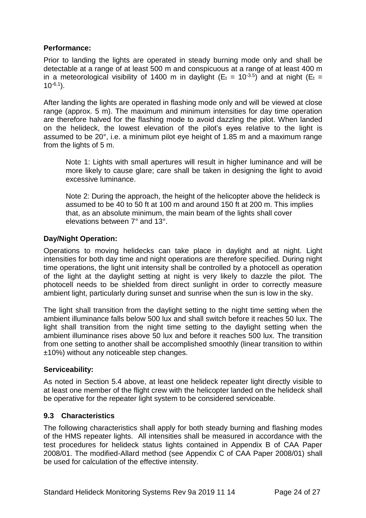# **Performance:**

Prior to landing the lights are operated in steady burning mode only and shall be detectable at a range of at least 500 m and conspicuous at a range of at least 400 m in a meteorological visibility of 1400 m in daylight ( $E_t = 10^{-3.5}$ ) and at night ( $E_t$  =  $10^{-6.1}$ ).

After landing the lights are operated in flashing mode only and will be viewed at close range (approx. 5 m). The maximum and minimum intensities for day time operation are therefore halved for the flashing mode to avoid dazzling the pilot. When landed on the helideck, the lowest elevation of the pilot's eyes relative to the light is assumed to be 20°, i.e. a minimum pilot eye height of 1.85 m and a maximum range from the lights of 5 m.

Note 1: Lights with small apertures will result in higher luminance and will be more likely to cause glare; care shall be taken in designing the light to avoid excessive luminance.

Note 2: During the approach, the height of the helicopter above the helideck is assumed to be 40 to 50 ft at 100 m and around 150 ft at 200 m. This implies that, as an absolute minimum, the main beam of the lights shall cover elevations between 7° and 13°.

# **Day/Night Operation:**

Operations to moving helidecks can take place in daylight and at night. Light intensities for both day time and night operations are therefore specified. During night time operations, the light unit intensity shall be controlled by a photocell as operation of the light at the daylight setting at night is very likely to dazzle the pilot. The photocell needs to be shielded from direct sunlight in order to correctly measure ambient light, particularly during sunset and sunrise when the sun is low in the sky.

The light shall transition from the daylight setting to the night time setting when the ambient illuminance falls below 500 lux and shall switch before it reaches 50 lux. The light shall transition from the night time setting to the daylight setting when the ambient illuminance rises above 50 lux and before it reaches 500 lux. The transition from one setting to another shall be accomplished smoothly (linear transition to within ±10%) without any noticeable step changes.

#### **Serviceability:**

As noted in Section 5.4 above, at least one helideck repeater light directly visible to at least one member of the flight crew with the helicopter landed on the helideck shall be operative for the repeater light system to be considered serviceable.

#### <span id="page-23-0"></span>**9.3 Characteristics**

The following characteristics shall apply for both steady burning and flashing modes of the HMS repeater lights. All intensities shall be measured in accordance with the test procedures for helideck status lights contained in Appendix B of CAA Paper 2008/01. The modified-Allard method (see Appendix C of CAA Paper 2008/01) shall be used for calculation of the effective intensity.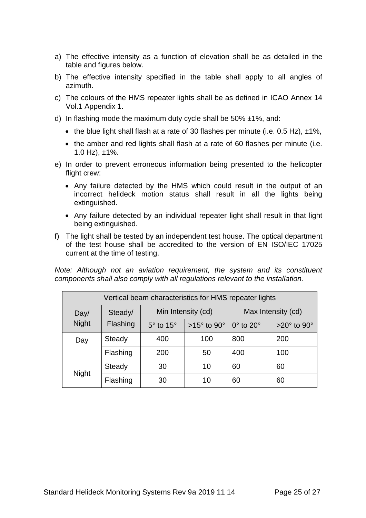- a) The effective intensity as a function of elevation shall be as detailed in the table and figures below.
- b) The effective intensity specified in the table shall apply to all angles of azimuth.
- c) The colours of the HMS repeater lights shall be as defined in ICAO Annex 14 Vol.1 Appendix 1.
- d) In flashing mode the maximum duty cycle shall be  $50\% \pm 1\%$ , and:
	- the blue light shall flash at a rate of 30 flashes per minute (i.e. 0.5 Hz),  $\pm$ 1%,
	- the amber and red lights shall flash at a rate of 60 flashes per minute (i.e. 1.0 Hz),  $\pm$ 1%.
- e) In order to prevent erroneous information being presented to the helicopter flight crew:
	- Any failure detected by the HMS which could result in the output of an incorrect helideck motion status shall result in all the lights being extinguished.
	- Any failure detected by an individual repeater light shall result in that light being extinguished.
- f) The light shall be tested by an independent test house. The optical department of the test house shall be accredited to the version of EN ISO/IEC 17025 current at the time of testing.

*Note: Although not an aviation requirement, the system and its constituent components shall also comply with all regulations relevant to the installation.*

| Vertical beam characteristics for HMS repeater lights |                     |                          |                            |                         |                           |  |  |  |
|-------------------------------------------------------|---------------------|--------------------------|----------------------------|-------------------------|---------------------------|--|--|--|
| Day/                                                  | Steady/<br>Flashing | Min Intensity (cd)       |                            | Max Intensity (cd)      |                           |  |  |  |
| <b>Night</b>                                          |                     | $5^\circ$ to 15 $^\circ$ | $>15^\circ$ to 90 $^\circ$ | $0^\circ$ to $20^\circ$ | $>20^\circ$ to $90^\circ$ |  |  |  |
| Day                                                   | Steady              | 400                      | 100                        | 800                     | 200                       |  |  |  |
|                                                       | Flashing            | 200                      | 50                         | 400                     | 100                       |  |  |  |
| <b>Night</b>                                          | Steady              | 30                       | 10                         | 60                      | 60                        |  |  |  |
|                                                       | Flashing            | 30                       | 10                         | 60                      | 60                        |  |  |  |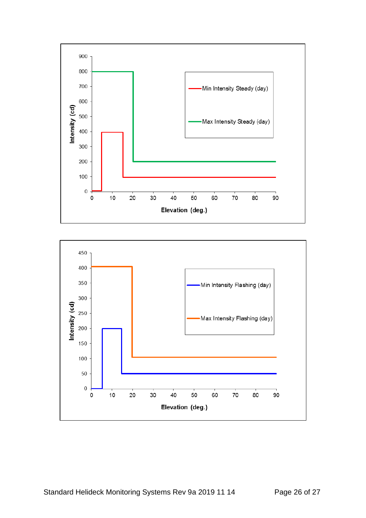